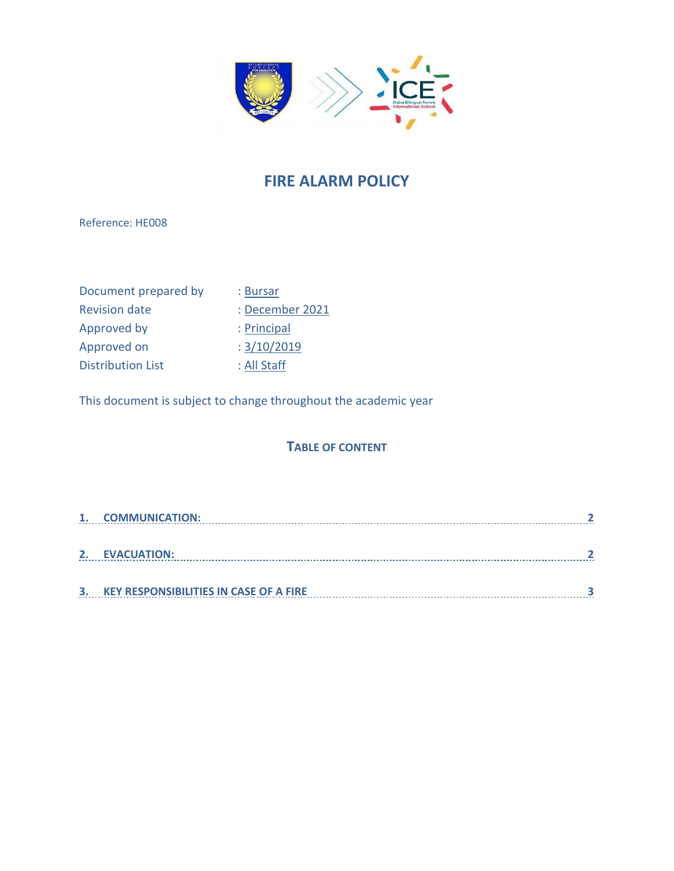

# **FIRE ALARM POLICY**

Reference: HE008

| Document prepared by     |
|--------------------------|
| <b>Revision date</b>     |
| Approved by              |
| Approved on              |
| <b>Distribution List</b> |

# : Bursar : December 2021 : Principal  $: 3/10/2019$

: All Staff

This document is subject to change throughout the academic year

#### **TABLE OF CONTENT**

| 1. | <b>COMMUNICATION:</b>                         |  |
|----|-----------------------------------------------|--|
|    |                                               |  |
| 2. | <b>EVACUATION:</b>                            |  |
|    |                                               |  |
| 3. | <b>KEY RESPONSIBILITIES IN CASE OF A FIRE</b> |  |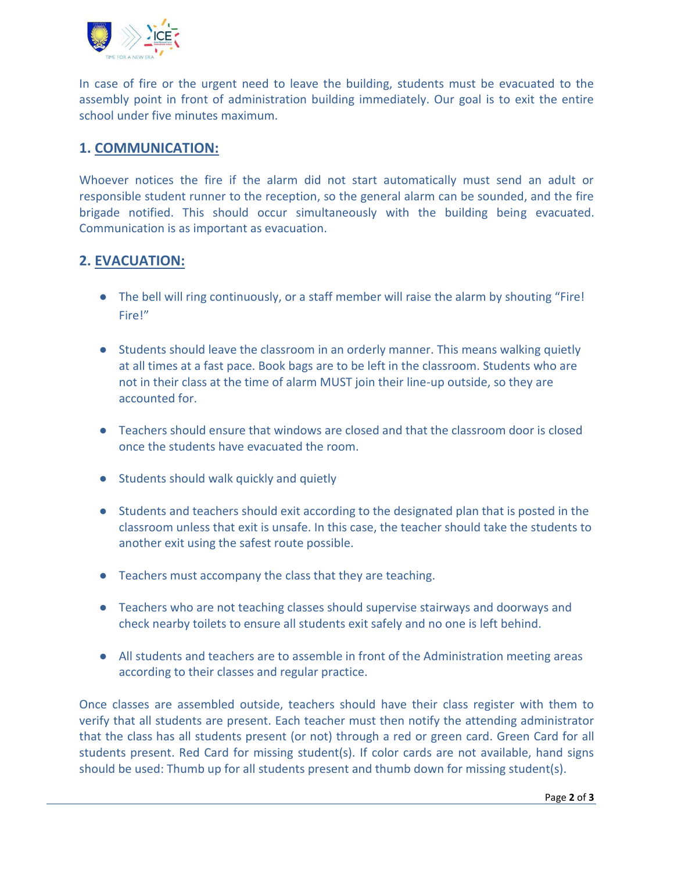

In case of fire or the urgent need to leave the building, students must be evacuated to the assembly point in front of administration building immediately. Our goal is to exit the entire school under five minutes maximum.

### <span id="page-1-0"></span>**1. COMMUNICATION:**

Whoever notices the fire if the alarm did not start automatically must send an adult or responsible student runner to the reception, so the general alarm can be sounded, and the fire brigade notified. This should occur simultaneously with the building being evacuated. Communication is as important as evacuation.

## <span id="page-1-1"></span>**2. EVACUATION:**

- The bell will ring continuously, or a staff member will raise the alarm by shouting "Fire! Fire!"
- Students should leave the classroom in an orderly manner. This means walking quietly at all times at a fast pace. Book bags are to be left in the classroom. Students who are not in their class at the time of alarm MUST join their line-up outside, so they are accounted for.
- Teachers should ensure that windows are closed and that the classroom door is closed once the students have evacuated the room.
- Students should walk quickly and quietly
- Students and teachers should exit according to the designated plan that is posted in the classroom unless that exit is unsafe. In this case, the teacher should take the students to another exit using the safest route possible.
- Teachers must accompany the class that they are teaching.
- Teachers who are not teaching classes should supervise stairways and doorways and check nearby toilets to ensure all students exit safely and no one is left behind.
- All students and teachers are to assemble in front of the Administration meeting areas according to their classes and regular practice.

Once classes are assembled outside, teachers should have their class register with them to verify that all students are present. Each teacher must then notify the attending administrator that the class has all students present (or not) through a red or green card. Green Card for all students present. Red Card for missing student(s). If color cards are not available, hand signs should be used: Thumb up for all students present and thumb down for missing student(s).